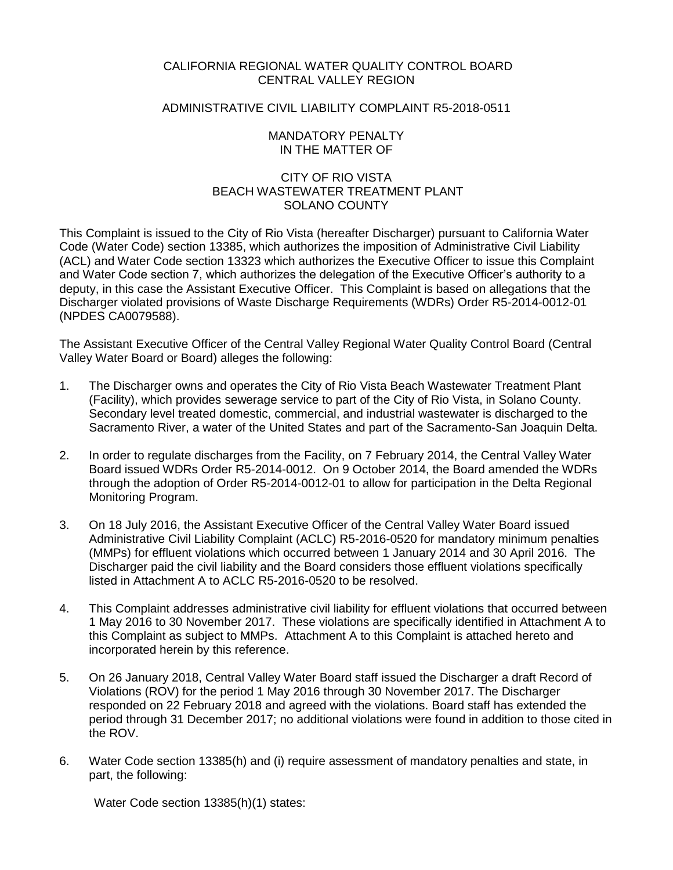# CALIFORNIA REGIONAL WATER QUALITY CONTROL BOARD CENTRAL VALLEY REGION

# ADMINISTRATIVE CIVIL LIABILITY COMPLAINT R5-2018-0511

## MANDATORY PENALTY IN THE MATTER OF

# CITY OF RIO VISTA BEACH WASTEWATER TREATMENT PLANT SOLANO COUNTY

This Complaint is issued to the City of Rio Vista (hereafter Discharger) pursuant to California Water Code (Water Code) section 13385, which authorizes the imposition of Administrative Civil Liability (ACL) and Water Code section 13323 which authorizes the Executive Officer to issue this Complaint and Water Code section 7, which authorizes the delegation of the Executive Officer's authority to a deputy, in this case the Assistant Executive Officer. This Complaint is based on allegations that the Discharger violated provisions of Waste Discharge Requirements (WDRs) Order R5-2014-0012-01 (NPDES CA0079588).

The Assistant Executive Officer of the Central Valley Regional Water Quality Control Board (Central Valley Water Board or Board) alleges the following:

- 1. The Discharger owns and operates the City of Rio Vista Beach Wastewater Treatment Plant (Facility), which provides sewerage service to part of the City of Rio Vista, in Solano County. Secondary level treated domestic, commercial, and industrial wastewater is discharged to the Sacramento River, a water of the United States and part of the Sacramento-San Joaquin Delta.
- 2. In order to regulate discharges from the Facility, on 7 February 2014, the Central Valley Water Board issued WDRs Order R5-2014-0012. On 9 October 2014, the Board amended the WDRs through the adoption of Order R5-2014-0012-01 to allow for participation in the Delta Regional Monitoring Program.
- 3. On 18 July 2016, the Assistant Executive Officer of the Central Valley Water Board issued Administrative Civil Liability Complaint (ACLC) R5-2016-0520 for mandatory minimum penalties (MMPs) for effluent violations which occurred between 1 January 2014 and 30 April 2016. The Discharger paid the civil liability and the Board considers those effluent violations specifically listed in Attachment A to ACLC R5-2016-0520 to be resolved.
- 4. This Complaint addresses administrative civil liability for effluent violations that occurred between 1 May 2016 to 30 November 2017. These violations are specifically identified in Attachment A to this Complaint as subject to MMPs. Attachment A to this Complaint is attached hereto and incorporated herein by this reference.
- 5. On 26 January 2018, Central Valley Water Board staff issued the Discharger a draft Record of Violations (ROV) for the period 1 May 2016 through 30 November 2017. The Discharger responded on 22 February 2018 and agreed with the violations. Board staff has extended the period through 31 December 2017; no additional violations were found in addition to those cited in the ROV.
- 6. Water Code section 13385(h) and (i) require assessment of mandatory penalties and state, in part, the following:

Water Code section 13385(h)(1) states: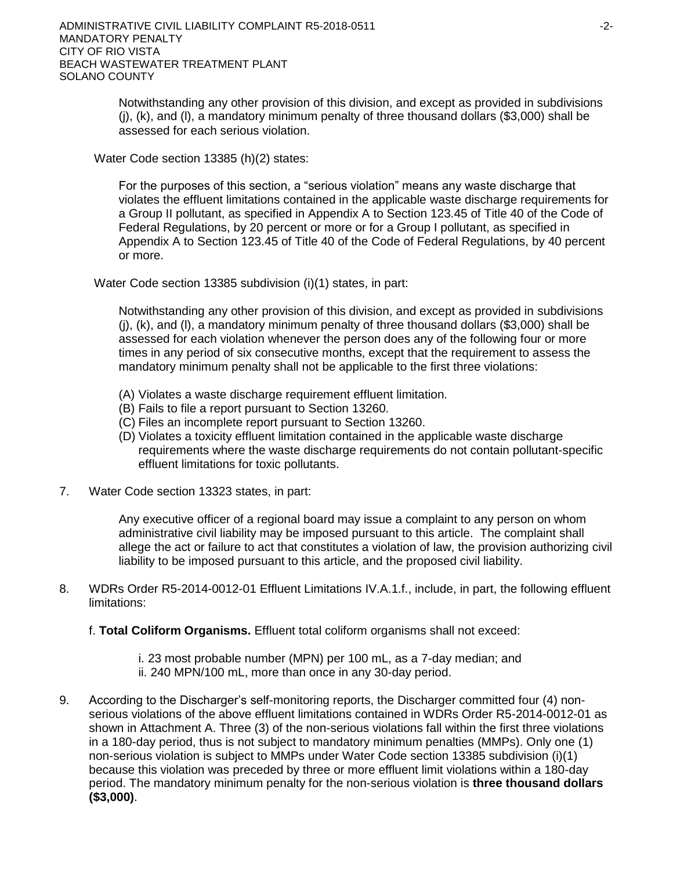Notwithstanding any other provision of this division, and except as provided in subdivisions (j), (k), and (l), a mandatory minimum penalty of three thousand dollars (\$3,000) shall be assessed for each serious violation.

Water Code section 13385 (h)(2) states:

For the purposes of this section, a "serious violation" means any waste discharge that violates the effluent limitations contained in the applicable waste discharge requirements for a Group II pollutant, as specified in Appendix A to Section 123.45 of Title 40 of the Code of Federal Regulations, by 20 percent or more or for a Group I pollutant, as specified in Appendix A to Section 123.45 of Title 40 of the Code of Federal Regulations, by 40 percent or more.

Water Code section 13385 subdivision (i)(1) states, in part:

Notwithstanding any other provision of this division, and except as provided in subdivisions (j), (k), and (l), a mandatory minimum penalty of three thousand dollars (\$3,000) shall be assessed for each violation whenever the person does any of the following four or more times in any period of six consecutive months, except that the requirement to assess the mandatory minimum penalty shall not be applicable to the first three violations:

- (A) Violates a waste discharge requirement effluent limitation.
- (B) Fails to file a report pursuant to Section 13260.
- (C) Files an incomplete report pursuant to Section 13260.
- (D) Violates a toxicity effluent limitation contained in the applicable waste discharge requirements where the waste discharge requirements do not contain pollutant-specific effluent limitations for toxic pollutants.
- 7. Water Code section 13323 states, in part:

Any executive officer of a regional board may issue a complaint to any person on whom administrative civil liability may be imposed pursuant to this article. The complaint shall allege the act or failure to act that constitutes a violation of law, the provision authorizing civil liability to be imposed pursuant to this article, and the proposed civil liability.

- 8. WDRs Order R5-2014-0012-01 Effluent Limitations IV.A.1.f., include, in part, the following effluent limitations:
	- f. **Total Coliform Organisms.** Effluent total coliform organisms shall not exceed:
		- i. 23 most probable number (MPN) per 100 mL, as a 7-day median; and ii. 240 MPN/100 mL, more than once in any 30-day period.
- 9. According to the Discharger's self-monitoring reports, the Discharger committed four (4) nonserious violations of the above effluent limitations contained in WDRs Order R5-2014-0012-01 as shown in Attachment A. Three (3) of the non-serious violations fall within the first three violations in a 180-day period, thus is not subject to mandatory minimum penalties (MMPs). Only one (1) non-serious violation is subject to MMPs under Water Code section 13385 subdivision (i)(1) because this violation was preceded by three or more effluent limit violations within a 180-day period. The mandatory minimum penalty for the non-serious violation is **three thousand dollars (\$3,000)**.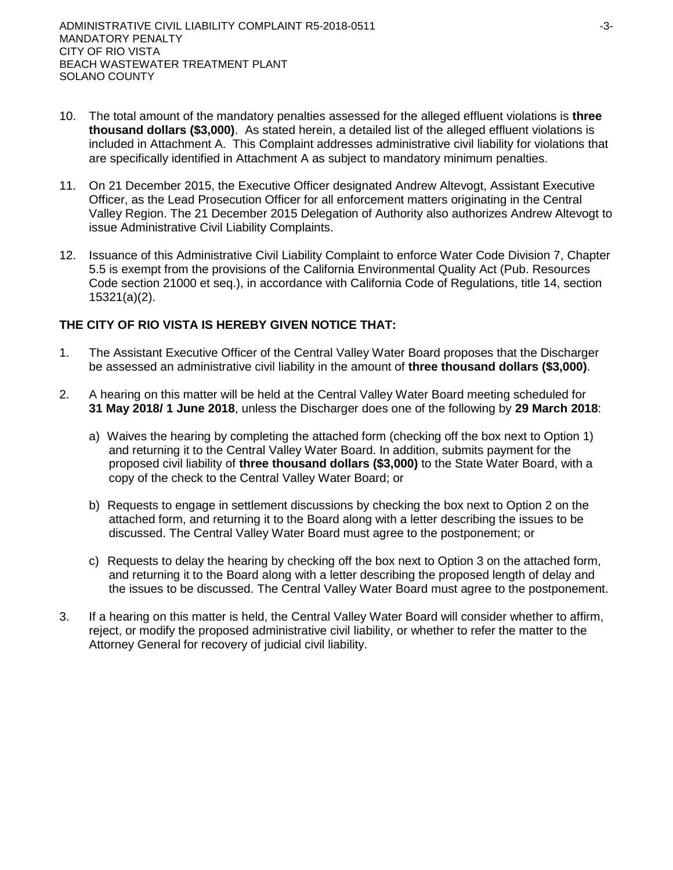- 10. The total amount of the mandatory penalties assessed for the alleged effluent violations is **three thousand dollars (\$3,000)**.As stated herein, a detailed list of the alleged effluent violations is included in Attachment A. This Complaint addresses administrative civil liability for violations that are specifically identified in Attachment A as subject to mandatory minimum penalties.
- 11. On 21 December 2015, the Executive Officer designated Andrew Altevogt, Assistant Executive Officer, as the Lead Prosecution Officer for all enforcement matters originating in the Central Valley Region. The 21 December 2015 Delegation of Authority also authorizes Andrew Altevogt to issue Administrative Civil Liability Complaints.
- 12. Issuance of this Administrative Civil Liability Complaint to enforce Water Code Division 7, Chapter 5.5 is exempt from the provisions of the California Environmental Quality Act (Pub. Resources Code section 21000 et seq.), in accordance with California Code of Regulations, title 14, section 15321(a)(2).

# **THE CITY OF RIO VISTA IS HEREBY GIVEN NOTICE THAT:**

- 1. The Assistant Executive Officer of the Central Valley Water Board proposes that the Discharger be assessed an administrative civil liability in the amount of **three thousand dollars (\$3,000)**.
- 2. A hearing on this matter will be held at the Central Valley Water Board meeting scheduled for **31 May 2018/ 1 June 2018**, unless the Discharger does one of the following by **29 March 2018**:
	- a) Waives the hearing by completing the attached form (checking off the box next to Option 1) and returning it to the Central Valley Water Board. In addition, submits payment for the proposed civil liability of **three thousand dollars (\$3,000)** to the State Water Board, with a copy of the check to the Central Valley Water Board; or
	- b) Requests to engage in settlement discussions by checking the box next to Option 2 on the attached form, and returning it to the Board along with a letter describing the issues to be discussed. The Central Valley Water Board must agree to the postponement; or
	- c) Requests to delay the hearing by checking off the box next to Option 3 on the attached form, and returning it to the Board along with a letter describing the proposed length of delay and the issues to be discussed. The Central Valley Water Board must agree to the postponement.
- 3. If a hearing on this matter is held, the Central Valley Water Board will consider whether to affirm, reject, or modify the proposed administrative civil liability, or whether to refer the matter to the Attorney General for recovery of judicial civil liability.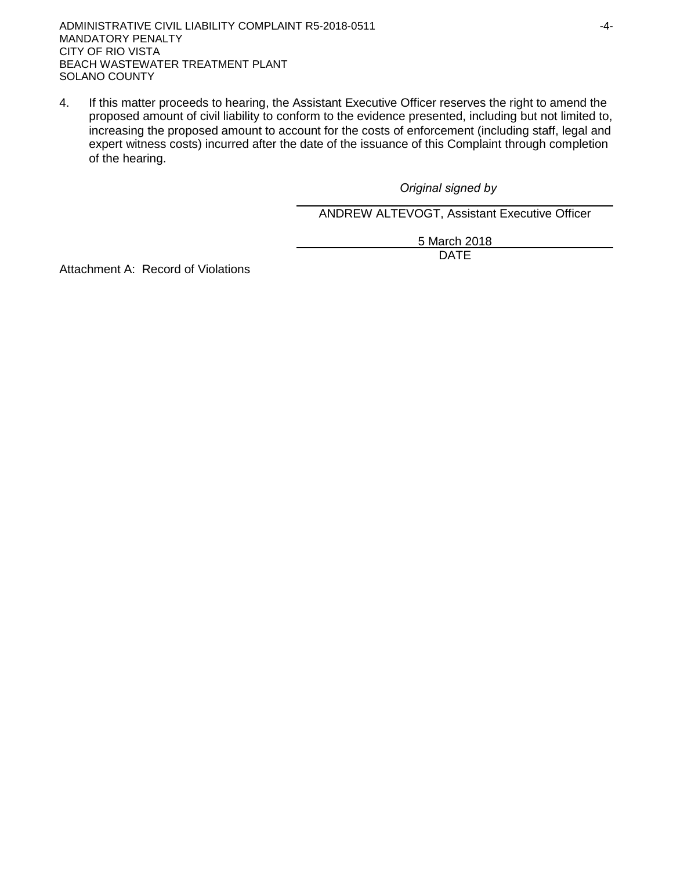ADMINISTRATIVE CIVIL LIABILITY COMPLAINT R5-2018-0511 4-4-MANDATORY PENALTY CITY OF RIO VISTA BEACH WASTEWATER TREATMENT PLANT SOLANO COUNTY

4. If this matter proceeds to hearing, the Assistant Executive Officer reserves the right to amend the proposed amount of civil liability to conform to the evidence presented, including but not limited to, increasing the proposed amount to account for the costs of enforcement (including staff, legal and expert witness costs) incurred after the date of the issuance of this Complaint through completion of the hearing.

*Original signed by*

ANDREW ALTEVOGT, Assistant Executive Officer

5 March 2018 DATE

Attachment A: Record of Violations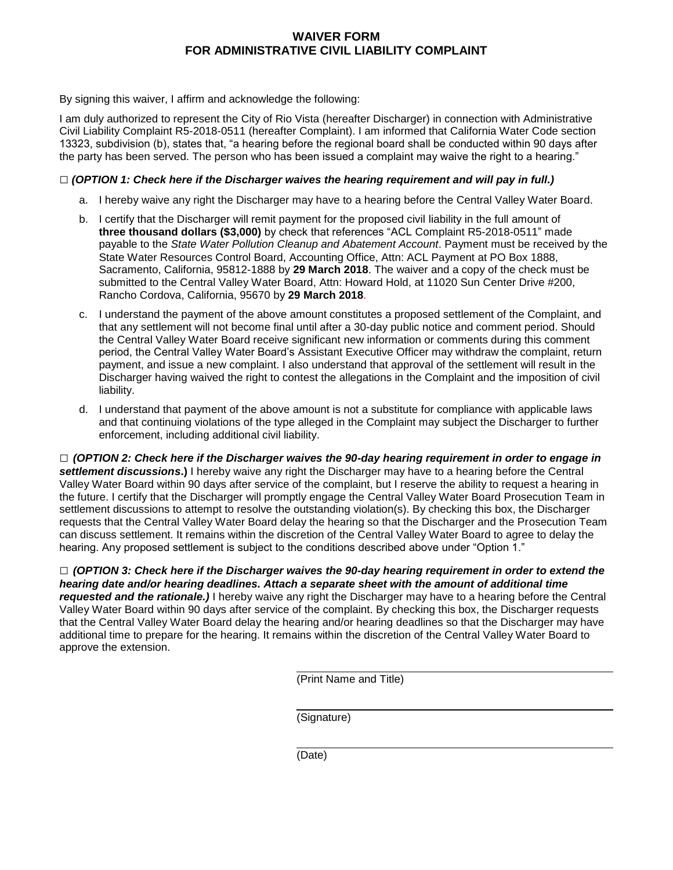# **WAIVER FORM FOR ADMINISTRATIVE CIVIL LIABILITY COMPLAINT**

By signing this waiver, I affirm and acknowledge the following:

I am duly authorized to represent the City of Rio Vista (hereafter Discharger) in connection with Administrative Civil Liability Complaint R5-2018-0511 (hereafter Complaint). I am informed that California Water Code section 13323, subdivision (b), states that, "a hearing before the regional board shall be conducted within 90 days after the party has been served. The person who has been issued a complaint may waive the right to a hearing."

#### **□** *(OPTION 1: Check here if the Discharger waives the hearing requirement and will pay in full.)*

- a. I hereby waive any right the Discharger may have to a hearing before the Central Valley Water Board.
- b. I certify that the Discharger will remit payment for the proposed civil liability in the full amount of **three thousand dollars (\$3,000)** by check that references "ACL Complaint R5-2018-0511" made payable to the *State Water Pollution Cleanup and Abatement Account*. Payment must be received by the State Water Resources Control Board, Accounting Office, Attn: ACL Payment at PO Box 1888, Sacramento, California, 95812-1888 by **29 March 2018**. The waiver and a copy of the check must be submitted to the Central Valley Water Board, Attn: Howard Hold, at 11020 Sun Center Drive #200, Rancho Cordova, California, 95670 by **29 March 2018**.
- c. I understand the payment of the above amount constitutes a proposed settlement of the Complaint, and that any settlement will not become final until after a 30-day public notice and comment period. Should the Central Valley Water Board receive significant new information or comments during this comment period, the Central Valley Water Board's Assistant Executive Officer may withdraw the complaint, return payment, and issue a new complaint. I also understand that approval of the settlement will result in the Discharger having waived the right to contest the allegations in the Complaint and the imposition of civil liability.
- d. I understand that payment of the above amount is not a substitute for compliance with applicable laws and that continuing violations of the type alleged in the Complaint may subject the Discharger to further enforcement, including additional civil liability.

**□** *(OPTION 2: Check here if the Discharger waives the 90-day hearing requirement in order to engage in settlement discussions***.)** I hereby waive any right the Discharger may have to a hearing before the Central Valley Water Board within 90 days after service of the complaint, but I reserve the ability to request a hearing in the future. I certify that the Discharger will promptly engage the Central Valley Water Board Prosecution Team in settlement discussions to attempt to resolve the outstanding violation(s). By checking this box, the Discharger requests that the Central Valley Water Board delay the hearing so that the Discharger and the Prosecution Team can discuss settlement. It remains within the discretion of the Central Valley Water Board to agree to delay the hearing. Any proposed settlement is subject to the conditions described above under "Option 1."

**□** *(OPTION 3: Check here if the Discharger waives the 90-day hearing requirement in order to extend the hearing date and/or hearing deadlines. Attach a separate sheet with the amount of additional time requested and the rationale.)* I hereby waive any right the Discharger may have to a hearing before the Central Valley Water Board within 90 days after service of the complaint. By checking this box, the Discharger requests that the Central Valley Water Board delay the hearing and/or hearing deadlines so that the Discharger may have additional time to prepare for the hearing. It remains within the discretion of the Central Valley Water Board to approve the extension.

(Print Name and Title)

(Signature)

(Date)